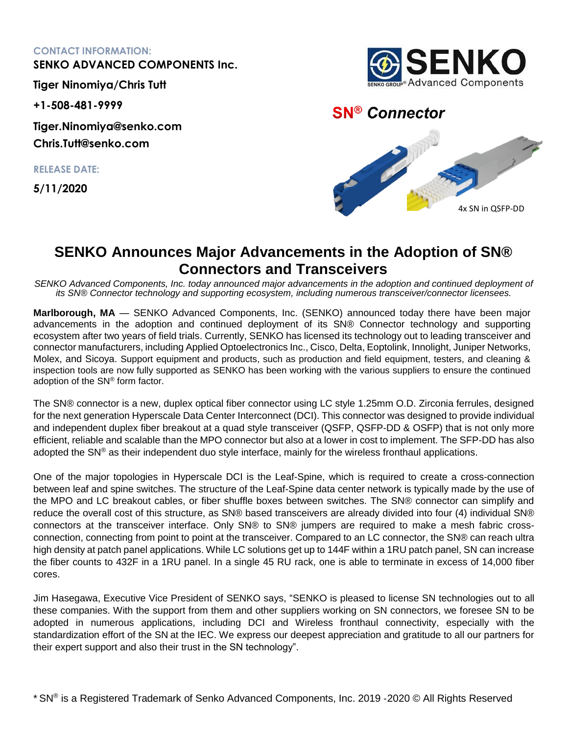## **CONTACT INFORMATION:**

**SENKO ADVANCED COMPONENTS Inc.**

**Tiger Ninomiya/Chris Tutt**

**+1-508-481-9999**

**Tiger.Ninomiya@senko.com Chris.Tutt@senko.com**

**RELEASE DATE:**

**5/11/2020**



## **SN® Connector**



## **SENKO Announces Major Advancements in the Adoption of SN® Connectors and Transceivers**

*SENKO Advanced Components, Inc. today announced major advancements in the adoption and continued deployment of its SN® Connector technology and supporting ecosystem, including numerous transceiver/connector licensees.*

**Marlborough, MA** — SENKO Advanced Components, Inc. (SENKO) announced today there have been major advancements in the adoption and continued deployment of its SN® Connector technology and supporting ecosystem after two years of field trials. Currently, SENKO has licensed its technology out to leading transceiver and connector manufacturers, including Applied Optoelectronics Inc., Cisco, Delta, Eoptolink, Innolight, Juniper Networks, Molex, and Sicoya. Support equipment and products, such as production and field equipment, testers, and cleaning & inspection tools are now fully supported as SENKO has been working with the various suppliers to ensure the continued adoption of the SN® form factor.

The SN® connector is a new, duplex optical fiber connector using LC style 1.25mm O.D. Zirconia ferrules, designed for the next generation Hyperscale Data Center Interconnect (DCI). This connector was designed to provide individual and independent duplex fiber breakout at a quad style transceiver (QSFP, QSFP-DD & OSFP) that is not only more efficient, reliable and scalable than the MPO connector but also at a lower in cost to implement. The SFP-DD has also adopted the SN® as their independent duo style interface, mainly for the wireless fronthaul applications.

One of the major topologies in Hyperscale DCI is the Leaf-Spine, which is required to create a cross-connection between leaf and spine switches. The structure of the Leaf-Spine data center network is typically made by the use of the MPO and LC breakout cables, or fiber shuffle boxes between switches. The SN® connector can simplify and reduce the overall cost of this structure, as SN® based transceivers are already divided into four (4) individual SN® connectors at the transceiver interface. Only SN® to SN® jumpers are required to make a mesh fabric crossconnection, connecting from point to point at the transceiver. Compared to an LC connector, the SN® can reach ultra high density at patch panel applications. While LC solutions get up to 144F within a 1RU patch panel, SN can increase the fiber counts to 432F in a 1RU panel. In a single 45 RU rack, one is able to terminate in excess of 14,000 fiber cores.

Jim Hasegawa, Executive Vice President of SENKO says, "SENKO is pleased to license SN technologies out to all these companies. With the support from them and other suppliers working on SN connectors, we foresee SN to be adopted in numerous applications, including DCI and Wireless fronthaul connectivity, especially with the standardization effort of the SN at the IEC. We express our deepest appreciation and gratitude to all our partners for their expert support and also their trust in the SN technology".